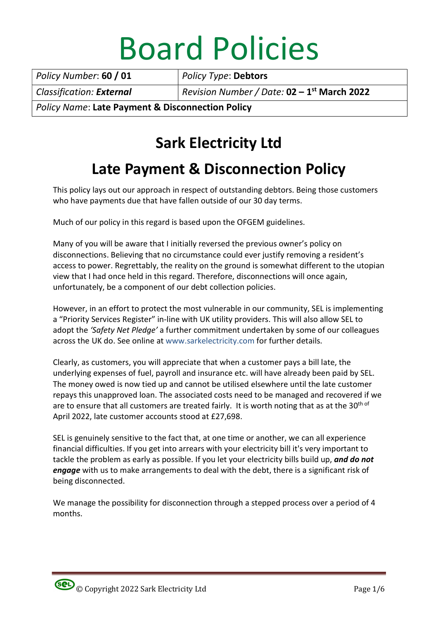# Board Policies

Policy Number: 60 / 01 | Policy Type: Debtors Classification: External Revision Number / Date:  $02 - 1$ <sup>st</sup> March 2022

Policy Name: Late Payment & Disconnection Policy

# Sark Electricity Ltd

## Late Payment & Disconnection Policy

This policy lays out our approach in respect of outstanding debtors. Being those customers who have payments due that have fallen outside of our 30 day terms.

Much of our policy in this regard is based upon the OFGEM guidelines.

Many of you will be aware that I initially reversed the previous owner's policy on disconnections. Believing that no circumstance could ever justify removing a resident's access to power. Regrettably, the reality on the ground is somewhat different to the utopian view that I had once held in this regard. Therefore, disconnections will once again, unfortunately, be a component of our debt collection policies.

However, in an effort to protect the most vulnerable in our community, SEL is implementing a "Priority Services Register" in-line with UK utility providers. This will also allow SEL to adopt the 'Safety Net Pledge' a further commitment undertaken by some of our colleagues across the UK do. See online at www.sarkelectricity.com for further details.

Clearly, as customers, you will appreciate that when a customer pays a bill late, the underlying expenses of fuel, payroll and insurance etc. will have already been paid by SEL. The money owed is now tied up and cannot be utilised elsewhere until the late customer repays this unapproved loan. The associated costs need to be managed and recovered if we are to ensure that all customers are treated fairly. It is worth noting that as at the 30<sup>th of</sup> April 2022, late customer accounts stood at £27,698.

SEL is genuinely sensitive to the fact that, at one time or another, we can all experience financial difficulties. If you get into arrears with your electricity bill it's very important to tackle the problem as early as possible. If you let your electricity bills build up, and do not engage with us to make arrangements to deal with the debt, there is a significant risk of being disconnected.

We manage the possibility for disconnection through a stepped process over a period of 4 months.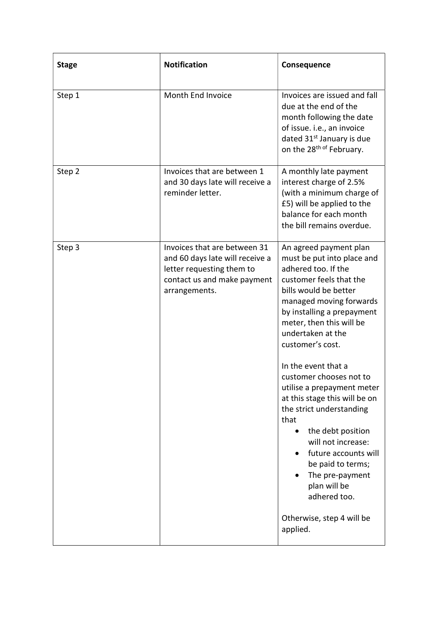| <b>Stage</b> | <b>Notification</b>                                                                                                                          | Consequence                                                                                                                                                                                                                                                                                                                                                                                                                                                                                                                                                                                |
|--------------|----------------------------------------------------------------------------------------------------------------------------------------------|--------------------------------------------------------------------------------------------------------------------------------------------------------------------------------------------------------------------------------------------------------------------------------------------------------------------------------------------------------------------------------------------------------------------------------------------------------------------------------------------------------------------------------------------------------------------------------------------|
| Step 1       | Month End Invoice                                                                                                                            | Invoices are issued and fall<br>due at the end of the<br>month following the date<br>of issue. i.e., an invoice<br>dated 31 <sup>st</sup> January is due<br>on the 28 <sup>th of</sup> February.                                                                                                                                                                                                                                                                                                                                                                                           |
| Step 2       | Invoices that are between 1<br>and 30 days late will receive a<br>reminder letter.                                                           | A monthly late payment<br>interest charge of 2.5%<br>(with a minimum charge of<br>£5) will be applied to the<br>balance for each month<br>the bill remains overdue.                                                                                                                                                                                                                                                                                                                                                                                                                        |
| Step 3       | Invoices that are between 31<br>and 60 days late will receive a<br>letter requesting them to<br>contact us and make payment<br>arrangements. | An agreed payment plan<br>must be put into place and<br>adhered too. If the<br>customer feels that the<br>bills would be better<br>managed moving forwards<br>by installing a prepayment<br>meter, then this will be<br>undertaken at the<br>customer's cost.<br>In the event that a<br>customer chooses not to<br>utilise a prepayment meter<br>at this stage this will be on<br>the strict understanding<br>that<br>the debt position<br>will not increase:<br>future accounts will<br>be paid to terms;<br>The pre-payment<br>plan will be<br>adhered too.<br>Otherwise, step 4 will be |
|              |                                                                                                                                              | applied.                                                                                                                                                                                                                                                                                                                                                                                                                                                                                                                                                                                   |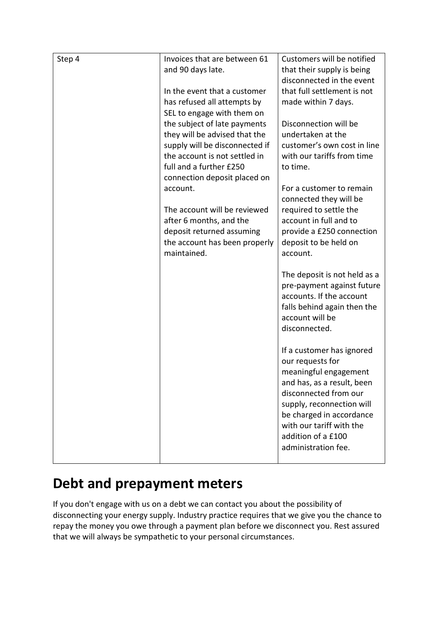| Step 4 | Invoices that are between 61   | Customers will be notified   |
|--------|--------------------------------|------------------------------|
|        | and 90 days late.              | that their supply is being   |
|        |                                | disconnected in the event    |
|        | In the event that a customer   | that full settlement is not  |
|        | has refused all attempts by    | made within 7 days.          |
|        | SEL to engage with them on     |                              |
|        | the subject of late payments   | Disconnection will be        |
|        | they will be advised that the  | undertaken at the            |
|        | supply will be disconnected if | customer's own cost in line  |
|        | the account is not settled in  | with our tariffs from time   |
|        | full and a further £250        | to time.                     |
|        | connection deposit placed on   |                              |
|        | account.                       | For a customer to remain     |
|        |                                | connected they will be       |
|        | The account will be reviewed   | required to settle the       |
|        | after 6 months, and the        | account in full and to       |
|        | deposit returned assuming      | provide a £250 connection    |
|        | the account has been properly  | deposit to be held on        |
|        | maintained.                    | account.                     |
|        |                                |                              |
|        |                                | The deposit is not held as a |
|        |                                | pre-payment against future   |
|        |                                | accounts. If the account     |
|        |                                | falls behind again then the  |
|        |                                | account will be              |
|        |                                | disconnected.                |
|        |                                |                              |
|        |                                | If a customer has ignored    |
|        |                                | our requests for             |
|        |                                | meaningful engagement        |
|        |                                | and has, as a result, been   |
|        |                                | disconnected from our        |
|        |                                | supply, reconnection will    |
|        |                                | be charged in accordance     |
|        |                                | with our tariff with the     |
|        |                                | addition of a £100           |
|        |                                | administration fee.          |
|        |                                |                              |

### Debt and prepayment meters

If you don't engage with us on a debt we can contact you about the possibility of disconnecting your energy supply. Industry practice requires that we give you the chance to repay the money you owe through a payment plan before we disconnect you. Rest assured that we will always be sympathetic to your personal circumstances.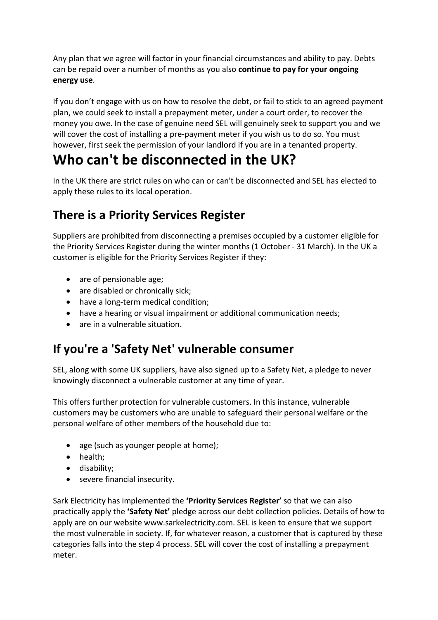Any plan that we agree will factor in your financial circumstances and ability to pay. Debts can be repaid over a number of months as you also continue to pay for your ongoing energy use.

If you don't engage with us on how to resolve the debt, or fail to stick to an agreed payment plan, we could seek to install a prepayment meter, under a court order, to recover the money you owe. In the case of genuine need SEL will genuinely seek to support you and we will cover the cost of installing a pre-payment meter if you wish us to do so. You must however, first seek the permission of your landlord if you are in a tenanted property.

## Who can't be disconnected in the UK?

In the UK there are strict rules on who can or can't be disconnected and SEL has elected to apply these rules to its local operation.

#### There is a Priority Services Register

Suppliers are prohibited from disconnecting a premises occupied by a customer eligible for the Priority Services Register during the winter months (1 October - 31 March). In the UK a customer is eligible for the Priority Services Register if they:

- are of pensionable age;
- are disabled or chronically sick;
- have a long-term medical condition;
- have a hearing or visual impairment or additional communication needs;
- are in a vulnerable situation.

#### If you're a 'Safety Net' vulnerable consumer

SEL, along with some UK suppliers, have also signed up to a Safety Net, a pledge to never knowingly disconnect a vulnerable customer at any time of year.

This offers further protection for vulnerable customers. In this instance, vulnerable customers may be customers who are unable to safeguard their personal welfare or the personal welfare of other members of the household due to:

- age (such as younger people at home);
- health;
- disability;
- severe financial insecurity.

Sark Electricity has implemented the 'Priority Services Register' so that we can also practically apply the 'Safety Net' pledge across our debt collection policies. Details of how to apply are on our website www.sarkelectricity.com. SEL is keen to ensure that we support the most vulnerable in society. If, for whatever reason, a customer that is captured by these categories falls into the step 4 process. SEL will cover the cost of installing a prepayment meter.